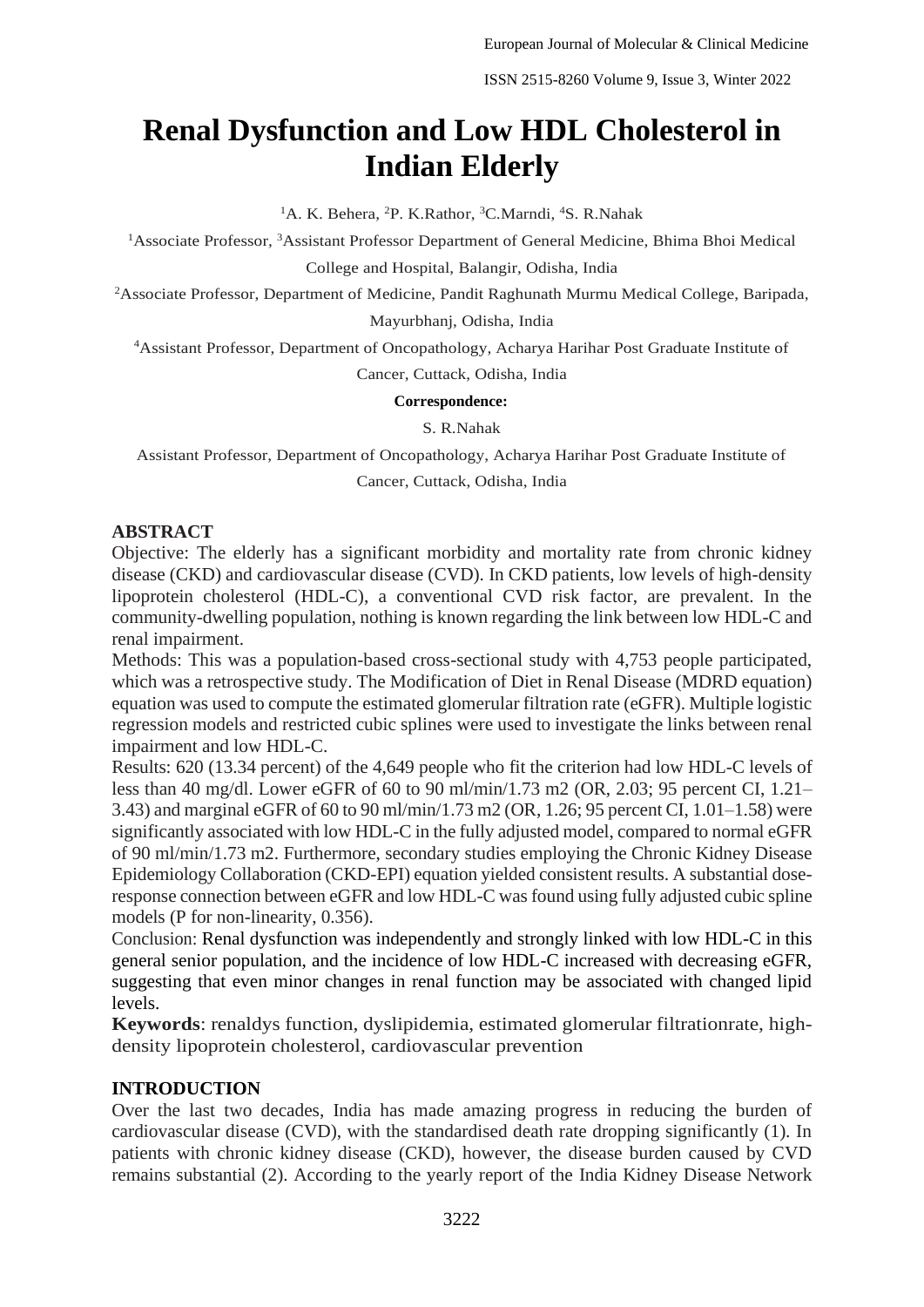# **Renal Dysfunction and Low HDL Cholesterol in Indian Elderly**

<sup>1</sup>A. K. Behera, <sup>2</sup>P. K. Rathor, <sup>3</sup>C. Marndi, <sup>4</sup>S. R. Nahak

<sup>1</sup>Associate Professor, <sup>3</sup>Assistant Professor Department of General Medicine, Bhima Bhoi Medical

College and Hospital, Balangir, Odisha, India

<sup>2</sup>Associate Professor, Department of Medicine, Pandit Raghunath Murmu Medical College, Baripada, Mayurbhanj, Odisha, India

<sup>4</sup>Assistant Professor, Department of Oncopathology, Acharya Harihar Post Graduate Institute of

Cancer, Cuttack, Odisha, India

#### **Correspondence:**

S. R.Nahak

Assistant Professor, Department of Oncopathology, Acharya Harihar Post Graduate Institute of

Cancer, Cuttack, Odisha, India

### **ABSTRACT**

Objective: The elderly has a significant morbidity and mortality rate from chronic kidney disease (CKD) and cardiovascular disease (CVD). In CKD patients, low levels of high-density lipoprotein cholesterol (HDL-C), a conventional CVD risk factor, are prevalent. In the community-dwelling population, nothing is known regarding the link between low HDL-C and renal impairment.

Methods: This was a population-based cross-sectional study with 4,753 people participated, which was a retrospective study. The Modification of Diet in Renal Disease (MDRD equation) equation was used to compute the estimated glomerular filtration rate (eGFR). Multiple logistic regression models and restricted cubic splines were used to investigate the links between renal impairment and low HDL-C.

Results: 620 (13.34 percent) of the 4,649 people who fit the criterion had low HDL-C levels of less than 40 mg/dl. Lower eGFR of 60 to 90 ml/min/1.73 m2 (OR, 2.03; 95 percent CI, 1.21– 3.43) and marginal eGFR of 60 to 90 ml/min/1.73 m2 (OR, 1.26; 95 percent CI, 1.01–1.58) were significantly associated with low HDL-C in the fully adjusted model, compared to normal eGFR of 90 ml/min/1.73 m2. Furthermore, secondary studies employing the Chronic Kidney Disease Epidemiology Collaboration (CKD-EPI) equation yielded consistent results. A substantial doseresponse connection between eGFR and low HDL-C was found using fully adjusted cubic spline models (P for non-linearity, 0.356).

Conclusion: Renal dysfunction was independently and strongly linked with low HDL-C in this general senior population, and the incidence of low HDL-C increased with decreasing eGFR, suggesting that even minor changes in renal function may be associated with changed lipid levels.

**Keywords**: renaldys function, dyslipidemia, estimated glomerular filtrationrate, highdensity lipoprotein cholesterol, cardiovascular prevention

## **INTRODUCTION**

Over the last two decades, India has made amazing progress in reducing the burden of cardiovascular disease (CVD), with the standardised death rate dropping significantly (1). In patients with chronic kidney disease (CKD), however, the disease burden caused by CVD remains substantial (2). According to the yearly report of the India Kidney Disease Network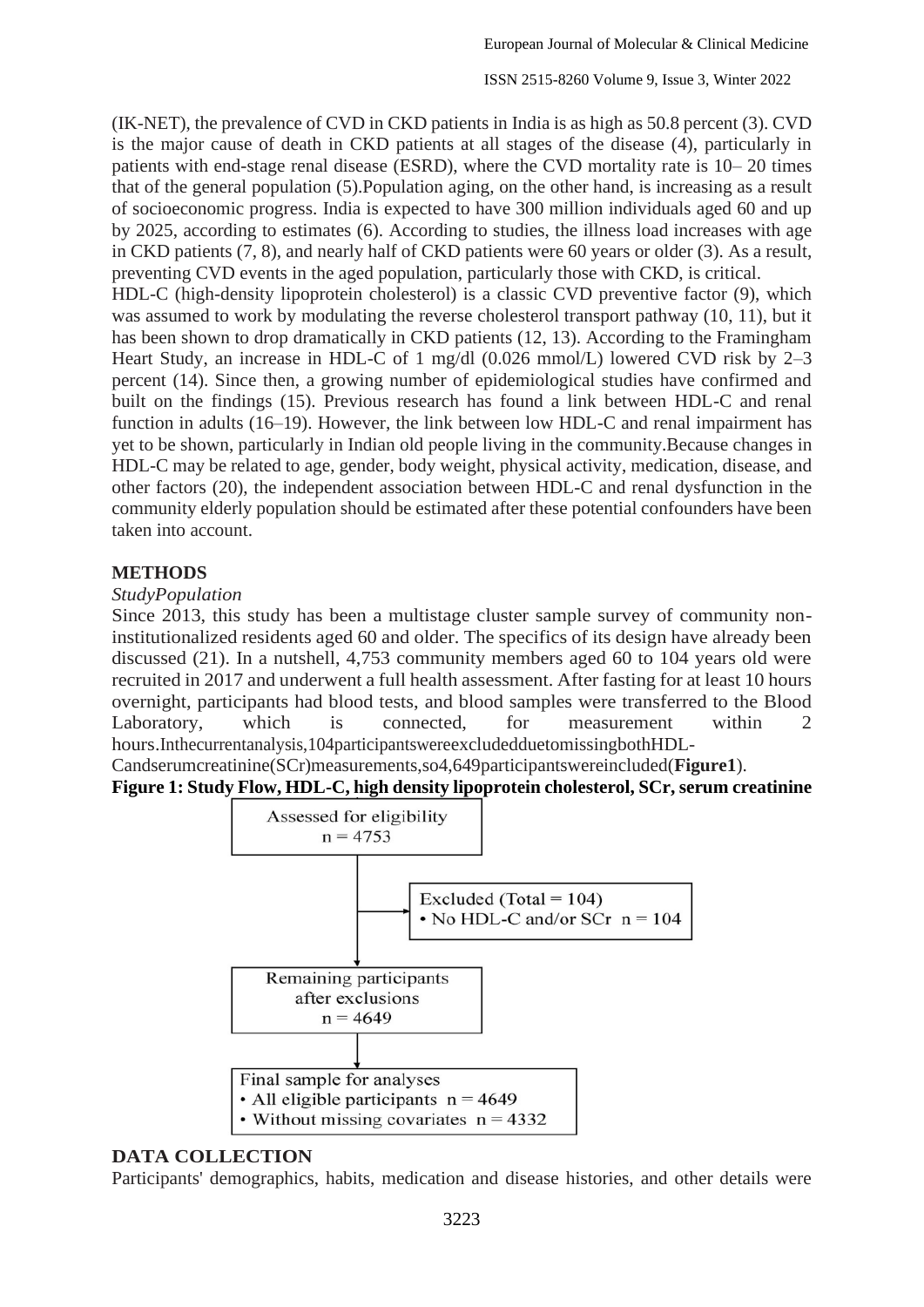(IK-NET), the prevalence of CVD in CKD patients in India is as high as 50.8 percent (3). CVD is the major cause of death in CKD patients at all stages of the disease (4), particularly in patients with end-stage renal disease (ESRD), where the CVD mortality rate is 10– 20 times that of the general population (5).Population aging, on the other hand, is increasing as a result of socioeconomic progress. India is expected to have 300 million individuals aged 60 and up by 2025, according to estimates (6). According to studies, the illness load increases with age in CKD patients (7, 8), and nearly half of CKD patients were 60 years or older (3). As a result, preventing CVD events in the aged population, particularly those with CKD, is critical.

HDL-C (high-density lipoprotein cholesterol) is a classic CVD preventive factor (9), which was assumed to work by modulating the reverse cholesterol transport pathway (10, 11), but it has been shown to drop dramatically in CKD patients (12, 13). According to the Framingham Heart Study, an increase in HDL-C of 1 mg/dl (0.026 mmol/L) lowered CVD risk by 2–3 percent (14). Since then, a growing number of epidemiological studies have confirmed and built on the findings (15). Previous research has found a link between HDL-C and renal function in adults (16–19). However, the link between low HDL-C and renal impairment has yet to be shown, particularly in Indian old people living in the community.Because changes in HDL-C may be related to age, gender, body weight, physical activity, medication, disease, and other factors (20), the independent association between HDL-C and renal dysfunction in the community elderly population should be estimated after these potential confounders have been taken into account.

### **METHODS**

#### *StudyPopulation*

Since 2013, this study has been a multistage cluster sample survey of community noninstitutionalized residents aged 60 and older. The specifics of its design have already been discussed (21). In a nutshell, 4,753 community members aged 60 to 104 years old were recruited in 2017 and underwent a full health assessment. After fasting for at least 10 hours overnight, participants had blood tests, and blood samples were transferred to the Blood Laboratory, which is connected, for measurement within 2 hours.Inthecurrentanalysis,104participantswereexcludedduetomissingbothHDL-

Candserumcreatinine(SCr)measurements,so4,649participantswereincluded(**Figure1**).

#### **Figure 1: Study Flow, HDL-C, high density lipoprotein cholesterol, SCr, serum creatinine**



#### **DATA COLLECTION**

Participants' demographics, habits, medication and disease histories, and other details were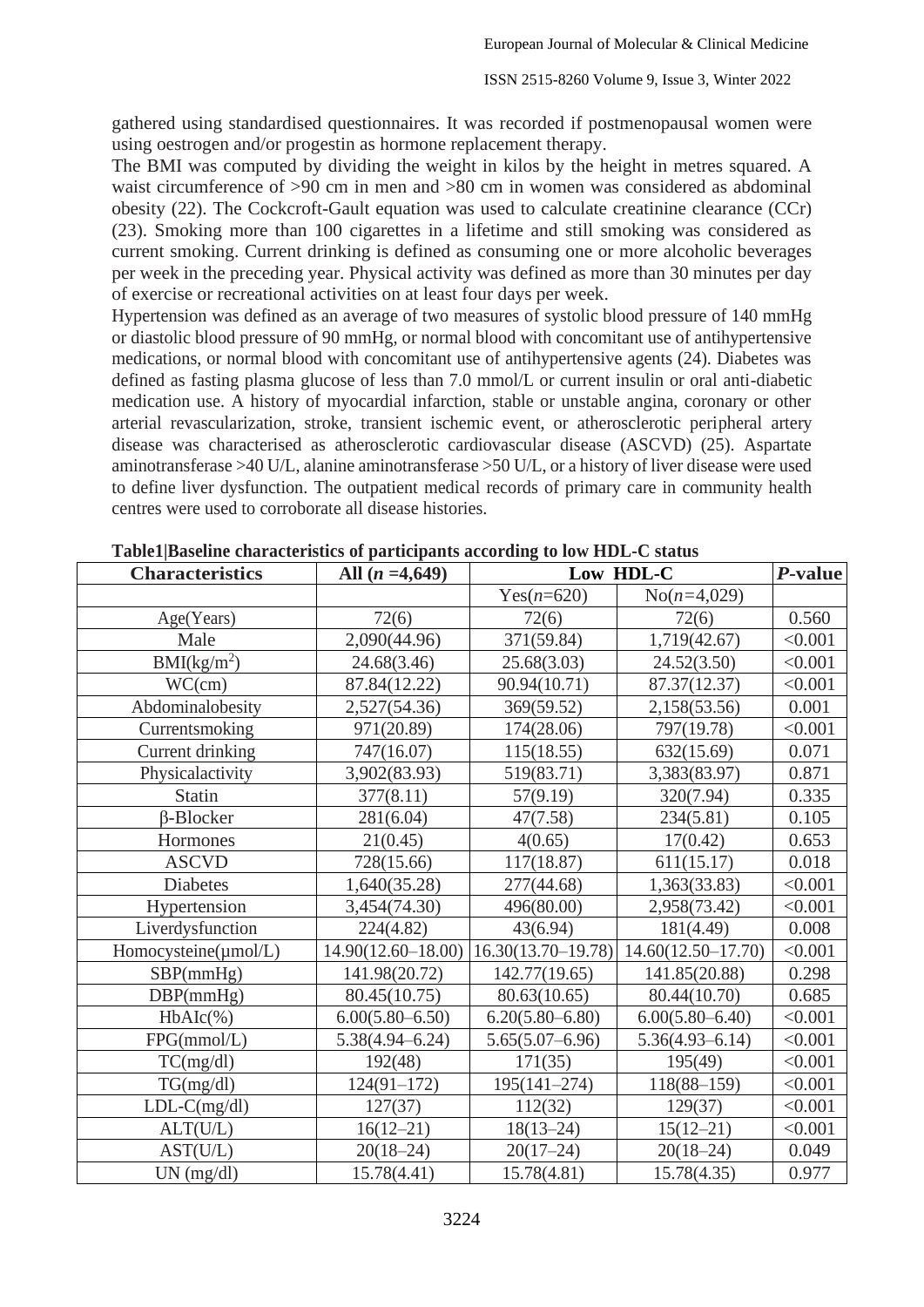gathered using standardised questionnaires. It was recorded if postmenopausal women were using oestrogen and/or progestin as hormone replacement therapy.

The BMI was computed by dividing the weight in kilos by the height in metres squared. A waist circumference of  $>90$  cm in men and  $>80$  cm in women was considered as abdominal obesity (22). The Cockcroft-Gault equation was used to calculate creatinine clearance (CCr) (23). Smoking more than 100 cigarettes in a lifetime and still smoking was considered as current smoking. Current drinking is defined as consuming one or more alcoholic beverages per week in the preceding year. Physical activity was defined as more than 30 minutes per day of exercise or recreational activities on at least four days per week.

Hypertension was defined as an average of two measures of systolic blood pressure of 140 mmHg or diastolic blood pressure of 90 mmHg, or normal blood with concomitant use of antihypertensive medications, or normal blood with concomitant use of antihypertensive agents (24). Diabetes was defined as fasting plasma glucose of less than 7.0 mmol/L or current insulin or oral anti-diabetic medication use. A history of myocardial infarction, stable or unstable angina, coronary or other arterial revascularization, stroke, transient ischemic event, or atherosclerotic peripheral artery disease was characterised as atherosclerotic cardiovascular disease (ASCVD) (25). Aspartate aminotransferase >40 U/L, alanine aminotransferase >50 U/L, or a history of liver disease were used to define liver dysfunction. The outpatient medical records of primary care in community health centres were used to corroborate all disease histories.

| <b>Characteristics</b> | All $(n = 4,649)$      | Low HDL-C              |                        | P-value |
|------------------------|------------------------|------------------------|------------------------|---------|
|                        |                        | Yes $(n=620)$          | $No(n=4,029)$          |         |
| Age(Years)             | 72(6)                  | 72(6)                  | 72(6)                  | 0.560   |
| Male                   | 2,090(44.96)           | 371(59.84)             | 1,719(42.67)           | < 0.001 |
| $BMI(kg/m^2)$          | 24.68(3.46)            | 25.68(3.03)            | 24.52(3.50)            | < 0.001 |
| WC(cm)                 | 87.84(12.22)           | 90.94(10.71)           | 87.37(12.37)           | < 0.001 |
| Abdominalobesity       | 2,527(54.36)           | 369(59.52)             | 2,158(53.56)           | 0.001   |
| Currentsmoking         | 971(20.89)             | 174(28.06)             | 797(19.78)             | < 0.001 |
| Current drinking       | 747(16.07)             | 115(18.55)             | 632(15.69)             | 0.071   |
| Physicalactivity       | 3,902(83.93)           | 519(83.71)             | 3,383(83.97)           | 0.871   |
| <b>Statin</b>          | 377(8.11)              | 57(9.19)               | 320(7.94)              | 0.335   |
| $\beta$ -Blocker       | 281(6.04)              | 47(7.58)               | 234(5.81)              | 0.105   |
| Hormones               | 21(0.45)               | 4(0.65)                | 17(0.42)               | 0.653   |
| <b>ASCVD</b>           | 728(15.66)             | 117(18.87)             | 611(15.17)             | 0.018   |
| <b>Diabetes</b>        | 1,640(35.28)           | 277(44.68)             | 1,363(33.83)           | < 0.001 |
| Hypertension           | 3,454(74.30)           | 496(80.00)             | 2,958(73.42)           | < 0.001 |
| Liverdysfunction       | 224(4.82)              | 43(6.94)               | 181(4.49)              | 0.008   |
| Homocysteine(umol/L)   | $14.90(12.60 - 18.00)$ | $16.30(13.70 - 19.78)$ | $14.60(12.50 - 17.70)$ | < 0.001 |
| SBP(mmHg)              | 141.98(20.72)          | 142.77(19.65)          | 141.85(20.88)          | 0.298   |
| DBP(mmHg)              | 80.45(10.75)           | 80.63(10.65)           | 80.44(10.70)           | 0.685   |
| $HbAIc(\%)$            | $6.00(5.80 - 6.50)$    | $6.20(5.80 - 6.80)$    | $6.00(5.80 - 6.40)$    | < 0.001 |
| FPG(mmol/L)            | $5.38(4.94 - 6.24)$    | $5.65(5.07 - 6.96)$    | $5.36(4.93 - 6.14)$    | < 0.001 |
| TC(mg/dl)              | 192(48)                | 171(35)                | 195(49)                | < 0.001 |
| TG(mg/dl)              | $124(91-172)$          | $195(141 - 274)$       | $118(88 - 159)$        | < 0.001 |
| $LDL-C(mg/dl)$         | 127(37)                | 112(32)                | 129(37)                | < 0.001 |
| ALT(U/L)               | $16(12 - 21)$          | $18(13 - 24)$          | $15(12-21)$            | < 0.001 |
| AST(U/L)               | $20(18-24)$            | $20(17-24)$            | $20(18-24)$            | 0.049   |
| UN (mg/dl)             | 15.78(4.41)            | 15.78(4.81)            | 15.78(4.35)            | 0.977   |

**Table1|Baseline characteristics of participants according to low HDL-C status**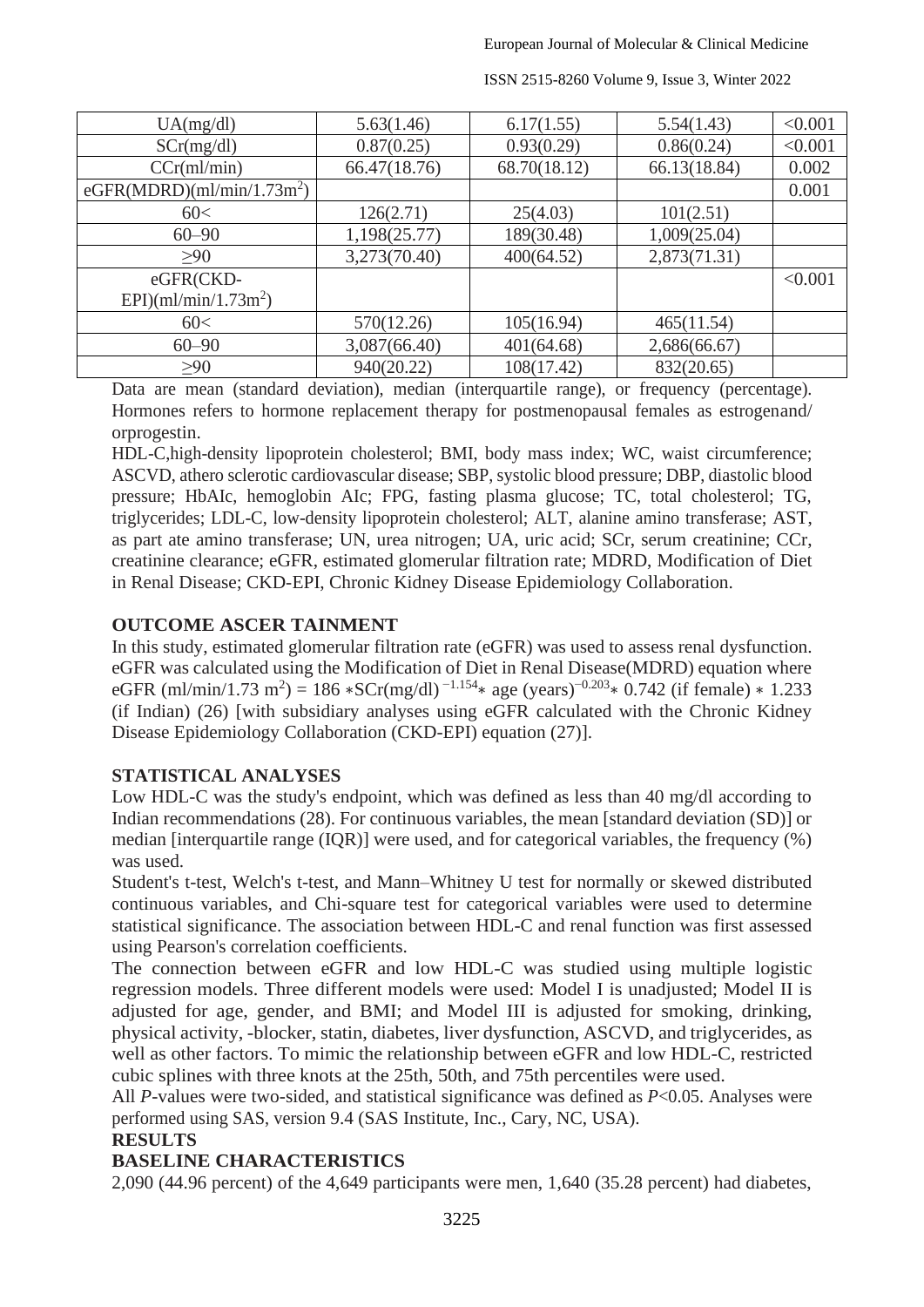| UA(mg/dl)                              | 5.63(1.46)   | 6.17(1.55)   | 5.54(1.43)   | < 0.001 |
|----------------------------------------|--------------|--------------|--------------|---------|
| SCr(mg/dl)                             | 0.87(0.25)   | 0.93(0.29)   | 0.86(0.24)   | < 0.001 |
| CCr(ml/min)                            | 66.47(18.76) | 68.70(18.12) | 66.13(18.84) | 0.002   |
| eGFR(MDRD)(ml/min/1.73m <sup>2</sup> ) |              |              |              | 0.001   |
| 60<                                    | 126(2.71)    | 25(4.03)     | 101(2.51)    |         |
| $60 - 90$                              | 1,198(25.77) | 189(30.48)   | 1,009(25.04) |         |
| >90                                    | 3,273(70.40) | 400(64.52)   | 2,873(71.31) |         |
| eGFR(CKD-                              |              |              |              | < 0.001 |
| EPI)(ml/min/1.73m <sup>2</sup> )       |              |              |              |         |
| 60<                                    | 570(12.26)   | 105(16.94)   | 465(11.54)   |         |
| $60 - 90$                              | 3,087(66.40) | 401(64.68)   | 2,686(66.67) |         |
| >90                                    | 940(20.22)   | 108(17.42)   | 832(20.65)   |         |

ISSN 2515-8260 Volume 9, Issue 3, Winter 2022

Data are mean (standard deviation), median (interquartile range), or frequency (percentage). Hormones refers to hormone replacement therapy for postmenopausal females as estrogenand/ orprogestin.

HDL-C,high-density lipoprotein cholesterol; BMI, body mass index; WC, waist circumference; ASCVD, athero sclerotic cardiovascular disease; SBP, systolic blood pressure; DBP, diastolic blood pressure; HbAIc, hemoglobin AIc; FPG, fasting plasma glucose; TC, total cholesterol; TG, triglycerides; LDL-C, low-density lipoprotein cholesterol; ALT, alanine amino transferase; AST, as part ate amino transferase; UN, urea nitrogen; UA, uric acid; SCr, serum creatinine; CCr, creatinine clearance; eGFR, estimated glomerular filtration rate; MDRD, Modification of Diet in Renal Disease; CKD-EPI, Chronic Kidney Disease Epidemiology Collaboration.

# **OUTCOME ASCER TAINMENT**

In this study, estimated glomerular filtration rate (eGFR) was used to assess renal dysfunction. eGFR was calculated using the Modification of Diet in Renal Disease(MDRD) equation where eGFR (ml/min/1.73 m<sup>2</sup>) = 186 \*SCr(mg/dl)<sup>-1.154</sup>\* age (years)<sup>-0.203</sup>\* 0.742 (if female) \* 1.233 (if Indian) (26) [with subsidiary analyses using eGFR calculated with the Chronic Kidney Disease Epidemiology Collaboration (CKD-EPI) equation (27)].

## **STATISTICAL ANALYSES**

Low HDL-C was the study's endpoint, which was defined as less than 40 mg/dl according to Indian recommendations (28). For continuous variables, the mean [standard deviation (SD)] or median [interquartile range (IQR)] were used, and for categorical variables, the frequency (%) was used.

Student's t-test, Welch's t-test, and Mann–Whitney U test for normally or skewed distributed continuous variables, and Chi-square test for categorical variables were used to determine statistical significance. The association between HDL-C and renal function was first assessed using Pearson's correlation coefficients.

The connection between eGFR and low HDL-C was studied using multiple logistic regression models. Three different models were used: Model I is unadjusted; Model II is adjusted for age, gender, and BMI; and Model III is adjusted for smoking, drinking, physical activity, -blocker, statin, diabetes, liver dysfunction, ASCVD, and triglycerides, as well as other factors. To mimic the relationship between eGFR and low HDL-C, restricted cubic splines with three knots at the 25th, 50th, and 75th percentiles were used.

All *P*-values were two-sided, and statistical significance was defined as *P*<0.05. Analyses were performed using SAS, version 9.4 (SAS Institute, Inc., Cary, NC, USA).

## **RESULTS**

# **BASELINE CHARACTERISTICS**

2,090 (44.96 percent) of the 4,649 participants were men, 1,640 (35.28 percent) had diabetes,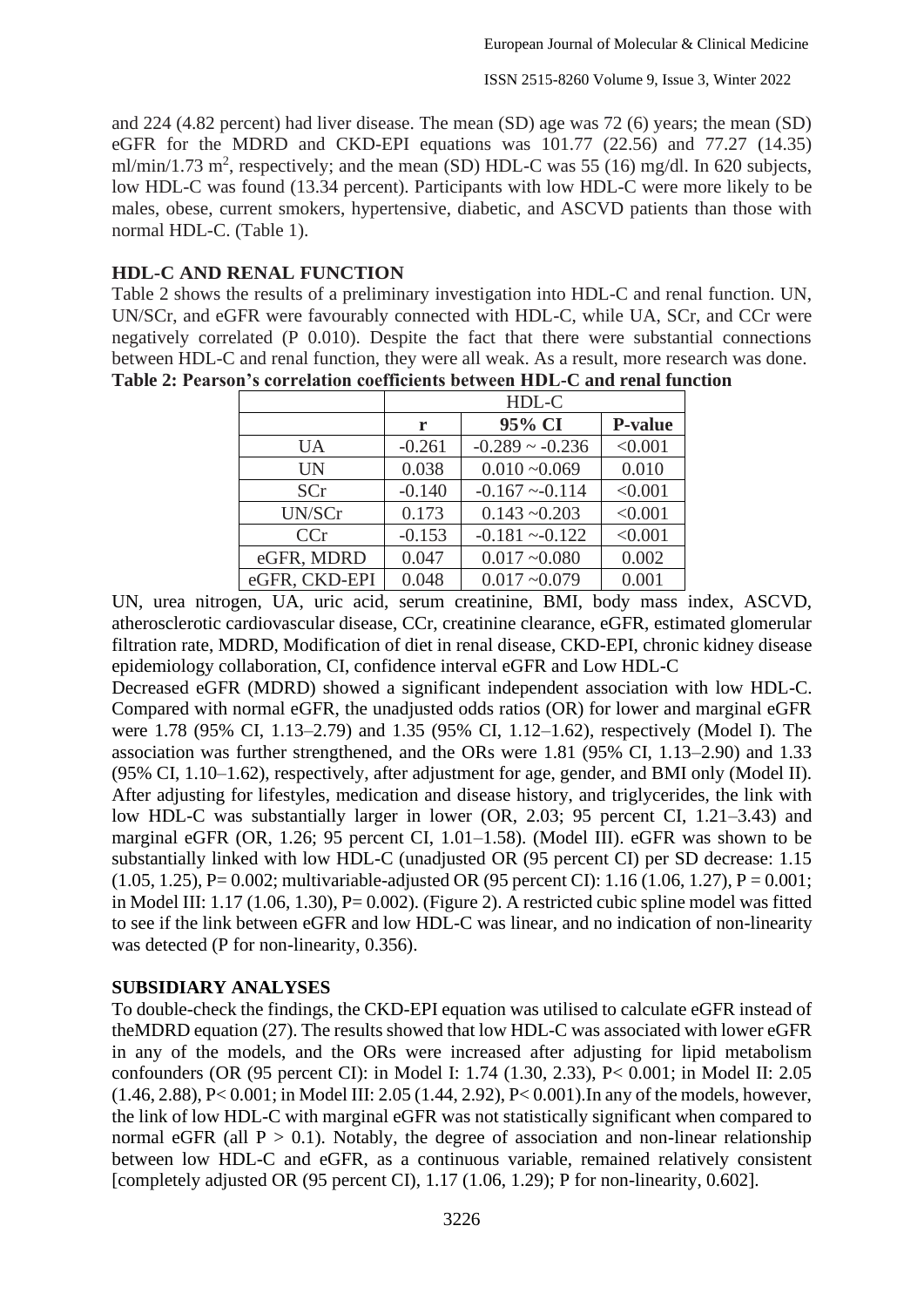and 224 (4.82 percent) had liver disease. The mean (SD) age was 72 (6) years; the mean (SD) eGFR for the MDRD and CKD-EPI equations was 101.77 (22.56) and 77.27 (14.35) ml/min/1.73 m<sup>2</sup>, respectively; and the mean (SD) HDL-C was 55 (16) mg/dl. In 620 subjects, low HDL-C was found (13.34 percent). Participants with low HDL-C were more likely to be males, obese, current smokers, hypertensive, diabetic, and ASCVD patients than those with normal HDL-C. (Table 1).

#### **HDL-C AND RENAL FUNCTION**

Table 2 shows the results of a preliminary investigation into HDL-C and renal function. UN, UN/SCr, and eGFR were favourably connected with HDL-C, while UA, SCr, and CCr were negatively correlated (P 0.010). Despite the fact that there were substantial connections between HDL-C and renal function, they were all weak. As a result, more research was done.

|               | HDL-C    |                      |                |  |
|---------------|----------|----------------------|----------------|--|
|               | r        | 95% CI               | <b>P-value</b> |  |
| <b>UA</b>     | $-0.261$ | $-0.289 \sim -0.236$ | < 0.001        |  |
| <b>UN</b>     | 0.038    | $0.010 - 0.069$      | 0.010          |  |
| <b>SCr</b>    | $-0.140$ | $-0.167 - 0.114$     | < 0.001        |  |
| UN/SCr        | 0.173    | $0.143 - 0.203$      | < 0.001        |  |
| CCr           | $-0.153$ | $-0.181 - 0.122$     | < 0.001        |  |
| eGFR, MDRD    | 0.047    | $0.017 - 0.080$      | 0.002          |  |
| eGFR, CKD-EPI | 0.048    | $0.017 - 0.079$      | 0.001          |  |

**Table 2: Pearson's correlation coefficients between HDL-C and renal function**

UN, urea nitrogen, UA, uric acid, serum creatinine, BMI, body mass index, ASCVD, atherosclerotic cardiovascular disease, CCr, creatinine clearance, eGFR, estimated glomerular filtration rate, MDRD, Modification of diet in renal disease, CKD-EPI, chronic kidney disease epidemiology collaboration, CI, confidence interval eGFR and Low HDL-C

Decreased eGFR (MDRD) showed a significant independent association with low HDL-C. Compared with normal eGFR, the unadjusted odds ratios (OR) for lower and marginal eGFR were 1.78 (95% CI, 1.13–2.79) and 1.35 (95% CI, 1.12–1.62), respectively (Model I). The association was further strengthened, and the ORs were 1.81 (95% CI, 1.13–2.90) and 1.33 (95% CI, 1.10–1.62), respectively, after adjustment for age, gender, and BMI only (Model II). After adjusting for lifestyles, medication and disease history, and triglycerides, the link with low HDL-C was substantially larger in lower (OR, 2.03; 95 percent CI, 1.21–3.43) and marginal eGFR (OR, 1.26; 95 percent CI, 1.01–1.58). (Model III). eGFR was shown to be substantially linked with low HDL-C (unadjusted OR (95 percent CI) per SD decrease: 1.15  $(1.05, 1.25), P= 0.002$ ; multivariable-adjusted OR (95 percent CI): 1.16 (1.06, 1.27), P = 0.001; in Model III:  $1.17$  (1.06, 1.30), P= 0.002). (Figure 2). A restricted cubic spline model was fitted to see if the link between eGFR and low HDL-C was linear, and no indication of non-linearity was detected (P for non-linearity, 0.356).

## **SUBSIDIARY ANALYSES**

To double-check the findings, the CKD-EPI equation was utilised to calculate eGFR instead of theMDRD equation (27). The results showed that low HDL-C was associated with lower eGFR in any of the models, and the ORs were increased after adjusting for lipid metabolism confounders (OR (95 percent CI): in Model I: 1.74 (1.30, 2.33), P< 0.001; in Model II: 2.05 (1.46, 2.88), P< 0.001; in Model III: 2.05 (1.44, 2.92), P< 0.001).In any of the models, however, the link of low HDL-C with marginal eGFR was not statistically significant when compared to normal eGFR (all  $P > 0.1$ ). Notably, the degree of association and non-linear relationship between low HDL-C and eGFR, as a continuous variable, remained relatively consistent [completely adjusted OR (95 percent CI), 1.17 (1.06, 1.29); P for non-linearity, 0.602].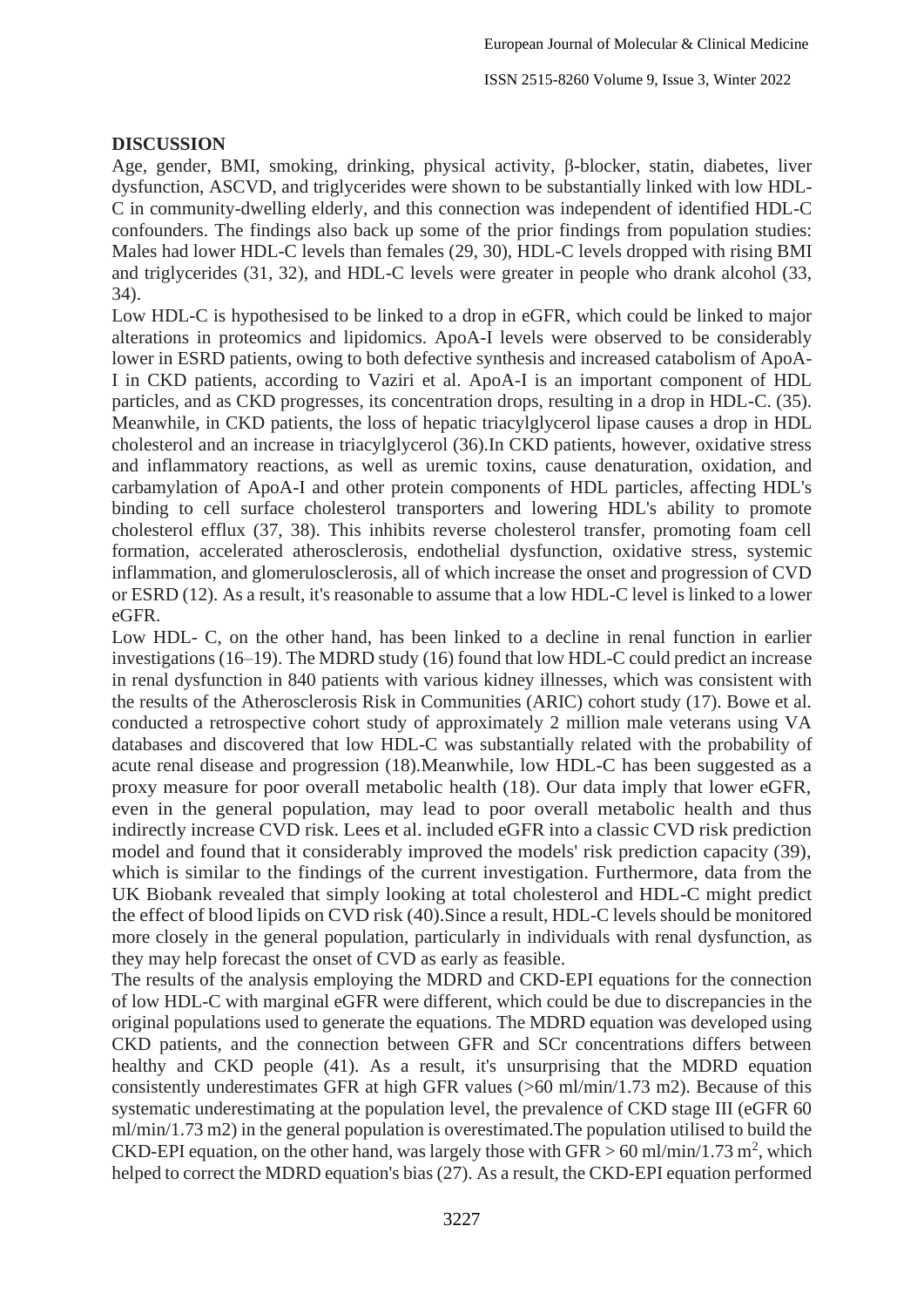#### **DISCUSSION**

Age, gender, BMI, smoking, drinking, physical activity, β-blocker, statin, diabetes, liver dysfunction, ASCVD, and triglycerides were shown to be substantially linked with low HDL-C in community-dwelling elderly, and this connection was independent of identified HDL-C confounders. The findings also back up some of the prior findings from population studies: Males had lower HDL-C levels than females (29, 30), HDL-C levels dropped with rising BMI and triglycerides (31, 32), and HDL-C levels were greater in people who drank alcohol (33, 34).

Low HDL-C is hypothesised to be linked to a drop in eGFR, which could be linked to major alterations in proteomics and lipidomics. ApoA-I levels were observed to be considerably lower in ESRD patients, owing to both defective synthesis and increased catabolism of ApoA-I in CKD patients, according to Vaziri et al. ApoA-I is an important component of HDL particles, and as CKD progresses, its concentration drops, resulting in a drop in HDL-C. (35). Meanwhile, in CKD patients, the loss of hepatic triacylglycerol lipase causes a drop in HDL cholesterol and an increase in triacylglycerol (36).In CKD patients, however, oxidative stress and inflammatory reactions, as well as uremic toxins, cause denaturation, oxidation, and carbamylation of ApoA-I and other protein components of HDL particles, affecting HDL's binding to cell surface cholesterol transporters and lowering HDL's ability to promote cholesterol efflux (37, 38). This inhibits reverse cholesterol transfer, promoting foam cell formation, accelerated atherosclerosis, endothelial dysfunction, oxidative stress, systemic inflammation, and glomerulosclerosis, all of which increase the onset and progression of CVD or ESRD (12). As a result, it's reasonable to assume that a low HDL-C level is linked to a lower eGFR.

Low HDL- C, on the other hand, has been linked to a decline in renal function in earlier investigations (16–19). The MDRD study (16) found that low HDL-C could predict an increase in renal dysfunction in 840 patients with various kidney illnesses, which was consistent with the results of the Atherosclerosis Risk in Communities (ARIC) cohort study (17). Bowe et al. conducted a retrospective cohort study of approximately 2 million male veterans using VA databases and discovered that low HDL-C was substantially related with the probability of acute renal disease and progression (18).Meanwhile, low HDL-C has been suggested as a proxy measure for poor overall metabolic health (18). Our data imply that lower eGFR, even in the general population, may lead to poor overall metabolic health and thus indirectly increase CVD risk. Lees et al. included eGFR into a classic CVD risk prediction model and found that it considerably improved the models' risk prediction capacity (39), which is similar to the findings of the current investigation. Furthermore, data from the UK Biobank revealed that simply looking at total cholesterol and HDL-C might predict the effect of blood lipids on CVD risk (40).Since a result, HDL-C levels should be monitored more closely in the general population, particularly in individuals with renal dysfunction, as they may help forecast the onset of CVD as early as feasible.

The results of the analysis employing the MDRD and CKD-EPI equations for the connection of low HDL-C with marginal eGFR were different, which could be due to discrepancies in the original populations used to generate the equations. The MDRD equation was developed using CKD patients, and the connection between GFR and SCr concentrations differs between healthy and CKD people (41). As a result, it's unsurprising that the MDRD equation consistently underestimates GFR at high GFR values (>60 ml/min/1.73 m2). Because of this systematic underestimating at the population level, the prevalence of CKD stage III (eGFR 60 ml/min/1.73 m2) in the general population is overestimated.The population utilised to build the CKD-EPI equation, on the other hand, was largely those with GFR  $> 60$  ml/min/1.73 m<sup>2</sup>, which helped to correct the MDRD equation's bias (27). As a result, the CKD-EPI equation performed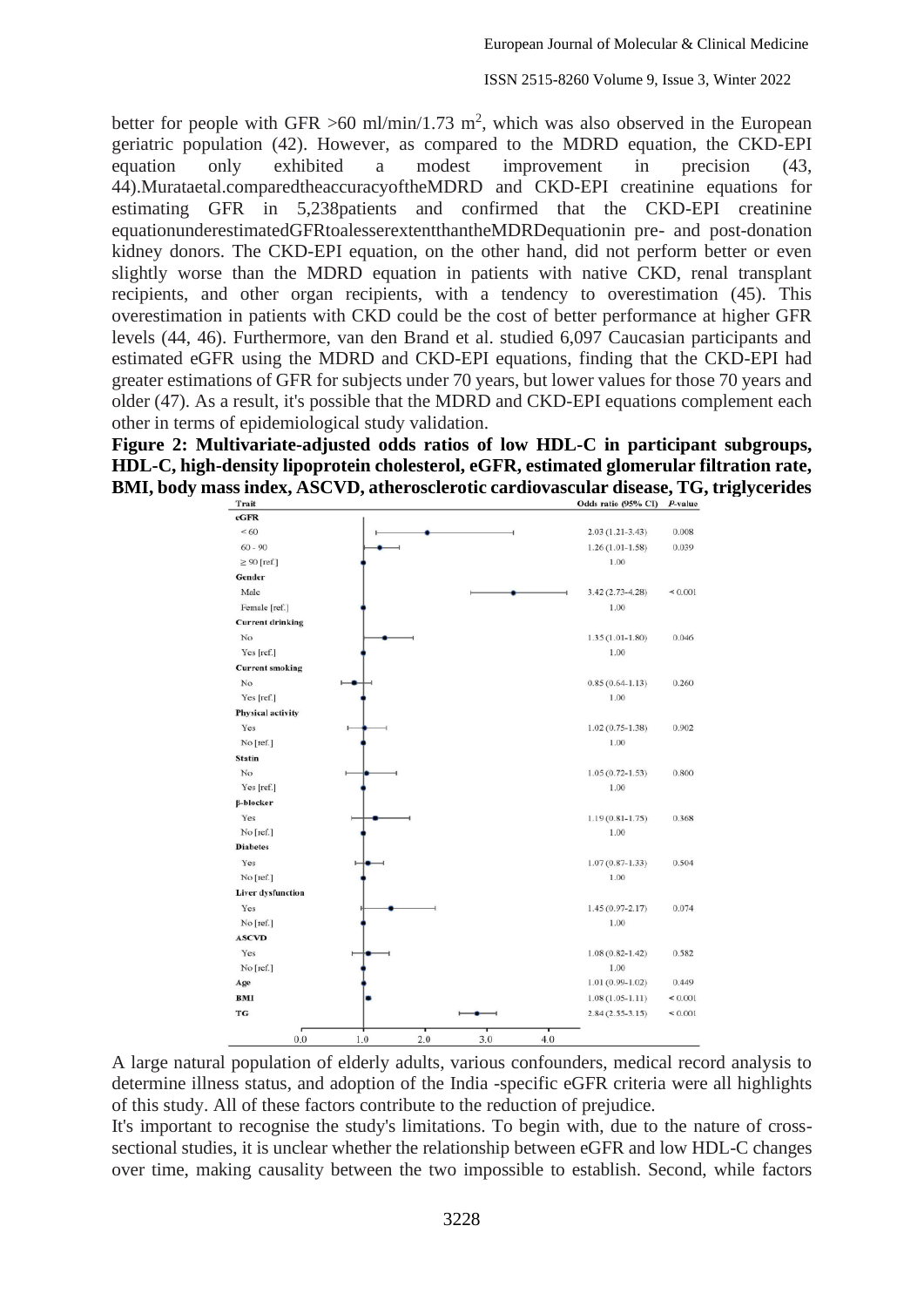better for people with GFR  $>60$  ml/min/1.73 m<sup>2</sup>, which was also observed in the European geriatric population (42). However, as compared to the MDRD equation, the CKD-EPI equation only exhibited a modest improvement in precision (43, 44).Murataetal.comparedtheaccuracyoftheMDRD and CKD-EPI creatinine equations for estimating GFR in 5,238patients and confirmed that the CKD-EPI creatinine equationunderestimatedGFRtoalesserextentthantheMDRDequationin pre- and post-donation kidney donors. The CKD-EPI equation, on the other hand, did not perform better or even slightly worse than the MDRD equation in patients with native CKD, renal transplant recipients, and other organ recipients, with a tendency to overestimation (45). This overestimation in patients with CKD could be the cost of better performance at higher GFR levels (44, 46). Furthermore, van den Brand et al. studied 6,097 Caucasian participants and estimated eGFR using the MDRD and CKD-EPI equations, finding that the CKD-EPI had greater estimations of GFR for subjects under 70 years, but lower values for those 70 years and older (47). As a result, it's possible that the MDRD and CKD-EPI equations complement each other in terms of epidemiological study validation.

**Figure 2: Multivariate-adjusted odds ratios of low HDL-C in participant subgroups, HDL-C, high-density lipoprotein cholesterol, eGFR, estimated glomerular filtration rate, BMI, body mass index, ASCVD, atherosclerotic cardiovascular disease, TG, triglycerides** 



A large natural population of elderly adults, various confounders, medical record analysis to determine illness status, and adoption of the India -specific eGFR criteria were all highlights of this study. All of these factors contribute to the reduction of prejudice.

It's important to recognise the study's limitations. To begin with, due to the nature of crosssectional studies, it is unclear whether the relationship between eGFR and low HDL-C changes over time, making causality between the two impossible to establish. Second, while factors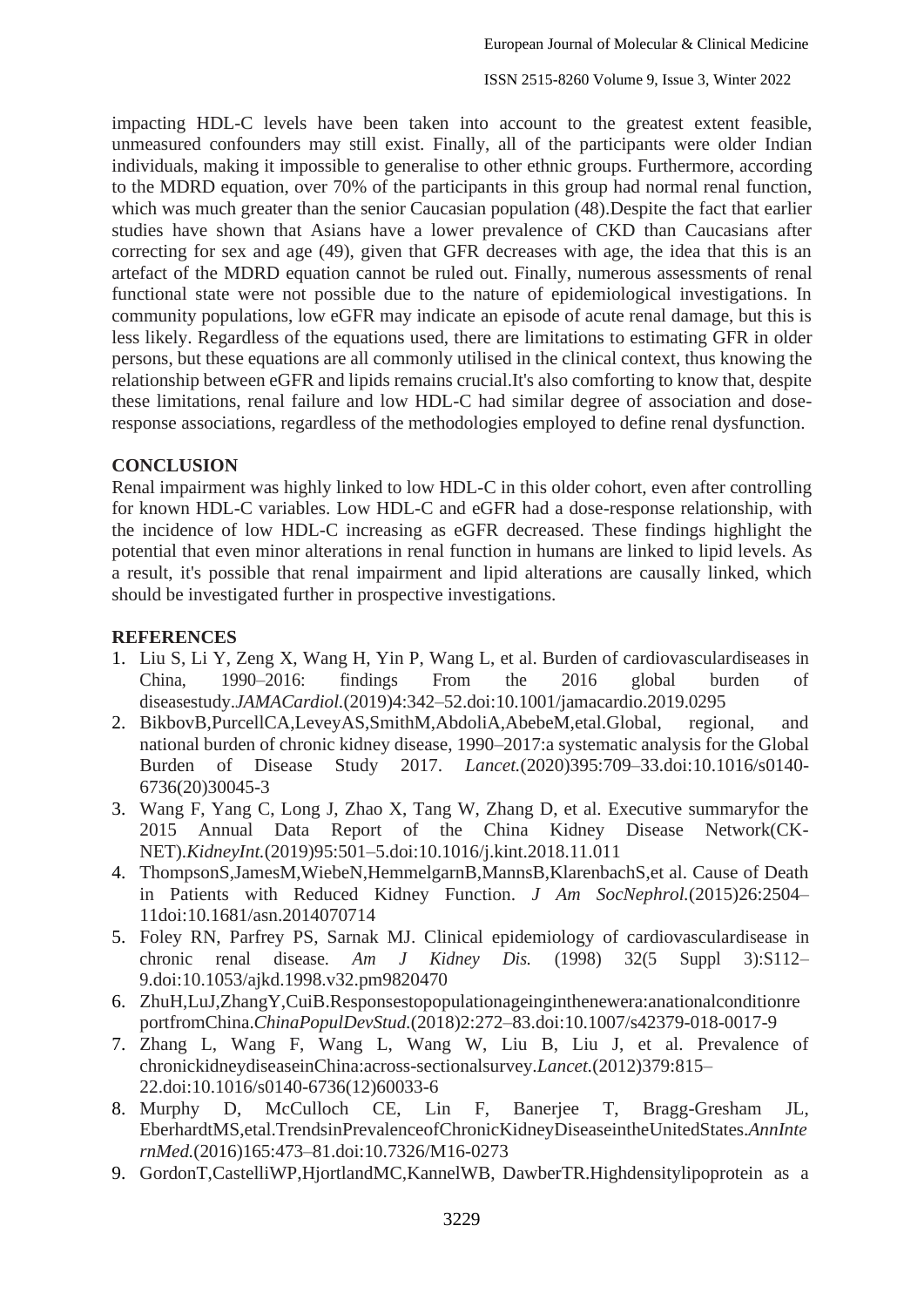impacting HDL-C levels have been taken into account to the greatest extent feasible, unmeasured confounders may still exist. Finally, all of the participants were older Indian individuals, making it impossible to generalise to other ethnic groups. Furthermore, according to the MDRD equation, over 70% of the participants in this group had normal renal function, which was much greater than the senior Caucasian population (48). Despite the fact that earlier studies have shown that Asians have a lower prevalence of CKD than Caucasians after correcting for sex and age (49), given that GFR decreases with age, the idea that this is an artefact of the MDRD equation cannot be ruled out. Finally, numerous assessments of renal functional state were not possible due to the nature of epidemiological investigations. In community populations, low eGFR may indicate an episode of acute renal damage, but this is less likely. Regardless of the equations used, there are limitations to estimating GFR in older persons, but these equations are all commonly utilised in the clinical context, thus knowing the relationship between eGFR and lipids remains crucial.It's also comforting to know that, despite these limitations, renal failure and low HDL-C had similar degree of association and doseresponse associations, regardless of the methodologies employed to define renal dysfunction.

#### **CONCLUSION**

Renal impairment was highly linked to low HDL-C in this older cohort, even after controlling for known HDL-C variables. Low HDL-C and eGFR had a dose-response relationship, with the incidence of low HDL-C increasing as eGFR decreased. These findings highlight the potential that even minor alterations in renal function in humans are linked to lipid levels. As a result, it's possible that renal impairment and lipid alterations are causally linked, which should be investigated further in prospective investigations.

### **REFERENCES**

- 1. Liu S, Li Y, Zeng X, Wang H, Yin P, Wang L, et al. Burden of cardiovasculardiseases in China, 1990–2016: findings From the 2016 global burden of diseasestudy.*JAMACardiol.*(2019)4:342–52.doi[:10.1001/jamacardio.2019.0295](https://doi.org/10.1001/jamacardio.2019.0295)
- 2. BikbovB,PurcellCA,LeveyAS,SmithM,AbdoliA,AbebeM,etal.Global, regional, and national burden of chronic kidney disease, 1990–2017:a systematic analysis for the Global Burden of Disease Study 2017. *Lancet.*(2020)395:709–33.doi[:10.1016/s0140-](https://doi.org/10.1016/s0140-6736(20)30045-3) [6736\(20\)30045-3](https://doi.org/10.1016/s0140-6736(20)30045-3)
- 3. Wang F, Yang C, Long J, Zhao X, Tang W, Zhang D, et al. Executive summaryfor the 2015 Annual Data Report of the China Kidney Disease Network(CK-NET).*KidneyInt.*(2019)95:501–5.doi[:10.1016/j.kint.2018.11.011](https://doi.org/10.1016/j.kint.2018.11.011)
- 4. ThompsonS,JamesM,WiebeN,HemmelgarnB,MannsB,KlarenbachS,et al. Cause of Death in Patients with Reduced Kidney Function. *J Am SocNephrol.*(2015)26:2504– 11doi[:10.1681/asn.2014070714](https://doi.org/10.1681/asn.2014070714)
- 5. Foley RN, Parfrey PS, Sarnak MJ. Clinical epidemiology of cardiovasculardisease in chronic renal disease. *Am J Kidney Dis.* (1998) 32(5 Suppl 3):S112– 9.doi[:10.1053/ajkd.1998.v32.pm9820470](https://doi.org/10.1053/ajkd.1998.v32.pm9820470)
- 6. ZhuH,LuJ,ZhangY,CuiB.Responsestopopulationageinginthenewera:anationalconditionre portfromChina.*ChinaPopulDevStud.*(2018)2:272–83.doi[:10.1007/s42379-018-0017-9](https://doi.org/10.1007/s42379-018-0017-9)
- 7. Zhang L, Wang F, Wang L, Wang W, Liu B, Liu J, et al. Prevalence of chronickidneydiseaseinChina:across-sectionalsurvey.*Lancet.*(2012)379:815– 22.doi[:10.1016/s0140-6736\(12\)60033-6](https://doi.org/10.1016/s0140-6736(12)60033-6)
- 8. Murphy D, McCulloch CE, Lin F, Banerjee T, Bragg-Gresham JL, EberhardtMS,etal.TrendsinPrevalenceofChronicKidneyDiseaseintheUnitedStates.*AnnInte rnMed.*(2016)165:473–81.doi[:10.7326/M16-0273](https://doi.org/10.7326/M16-0273)
- 9. GordonT,CastelliWP,HjortlandMC,KannelWB, DawberTR.Highdensitylipoprotein as a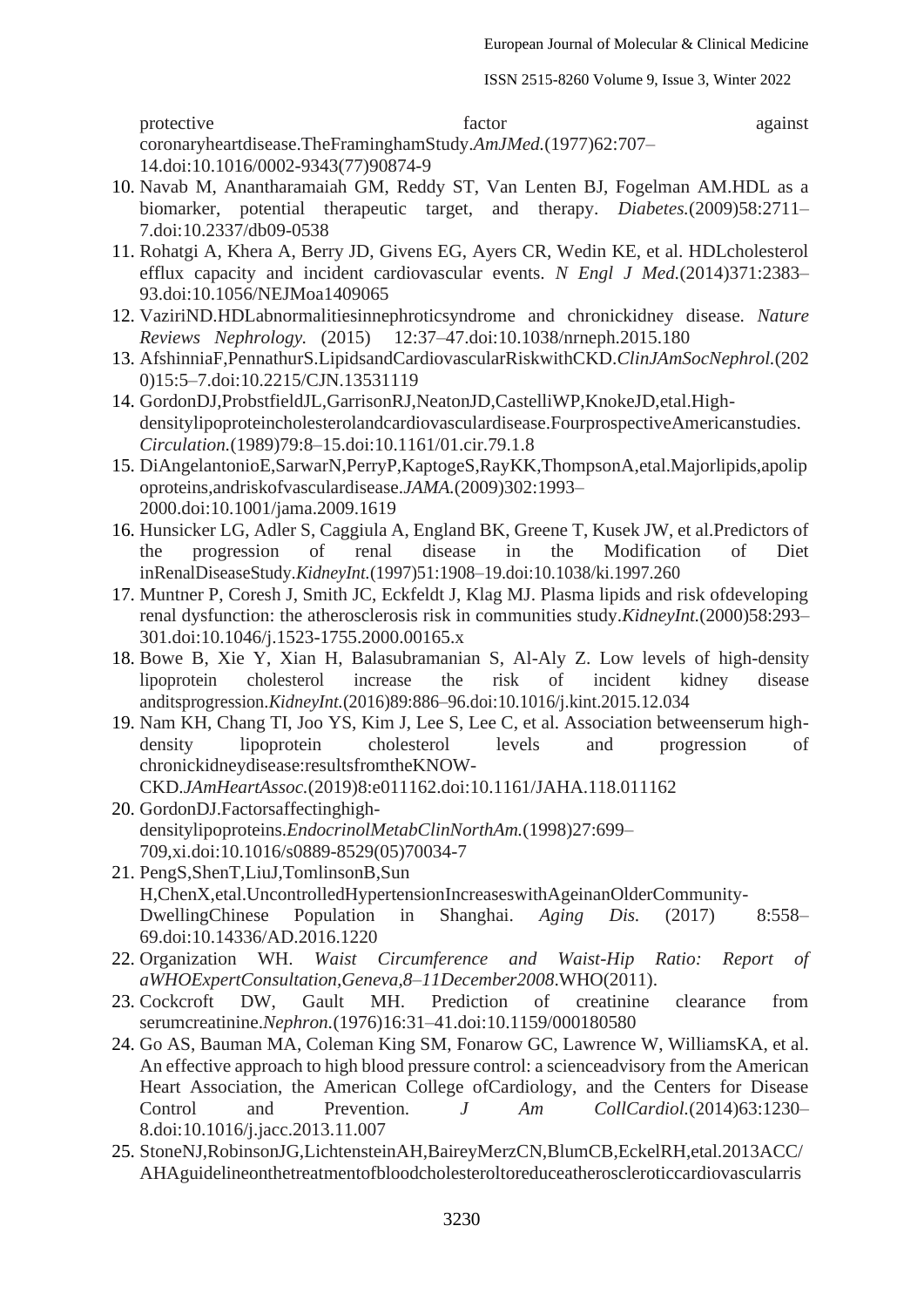protective factor against coronaryheartdisease.TheFraminghamStudy.*AmJMed.*(1977)62:707– 14.doi[:10.1016/0002-9343\(77\)90874-9](https://doi.org/10.1016/0002-9343(77)90874-9)

- 10. Navab M, Anantharamaiah GM, Reddy ST, Van Lenten BJ, Fogelman AM.HDL as a biomarker, potential therapeutic target, and therapy. *Diabetes.*(2009)58:2711– 7.doi[:10.2337/db09-0538](https://doi.org/10.2337/db09-0538)
- 11. Rohatgi A, Khera A, Berry JD, Givens EG, Ayers CR, Wedin KE, et al. HDLcholesterol efflux capacity and incident cardiovascular events. *N Engl J Med.*(2014)371:2383– 93.doi[:10.1056/NEJMoa1409065](https://doi.org/10.1056/NEJMoa1409065)
- 12. VaziriND.HDLabnormalitiesinnephroticsyndrome and chronickidney disease. *Nature Reviews Nephrology.* (2015) 12:37–47.doi[:10.1038/nrneph.2015.180](https://doi.org/10.1038/nrneph.2015.180)
- 13. AfshinniaF,PennathurS.LipidsandCardiovascularRiskwithCKD.*ClinJAmSocNephrol.*(202 0)15:5–7.doi[:10.2215/CJN.13531119](https://doi.org/10.2215/CJN.13531119)
- 14. GordonDJ,ProbstfieldJL,GarrisonRJ,NeatonJD,CastelliWP,KnokeJD,etal.Highdensitylipoproteincholesterolandcardiovasculardisease.FourprospectiveAmericanstudies. *Circulation.*(1989)79:8–15.doi[:10.1161/01.cir.79.1.8](https://doi.org/10.1161/01.cir.79.1.8)
- 15. DiAngelantonioE,SarwarN,PerryP,KaptogeS,RayKK,ThompsonA,etal.Majorlipids,apolip oproteins,andriskofvasculardisease.*JAMA.*(2009)302:1993– 2000.doi[:10.1001/jama.2009.1619](https://doi.org/10.1001/jama.2009.1619)
- 16. Hunsicker LG, Adler S, Caggiula A, England BK, Greene T, Kusek JW, et al.Predictors of the progression of renal disease in the Modification of Diet inRenalDiseaseStudy.*KidneyInt.*(1997)51:1908–19.doi[:10.1038/ki.1997.260](https://doi.org/10.1038/ki.1997.260)
- 17. Muntner P, Coresh J, Smith JC, Eckfeldt J, Klag MJ. Plasma lipids and risk ofdeveloping renal dysfunction: the atherosclerosis risk in communities study.*KidneyInt.*(2000)58:293– 301.doi[:10.1046/j.1523-1755.2000.00165.x](https://doi.org/10.1046/j.1523-1755.2000.00165.x)
- 18. Bowe B, Xie Y, Xian H, Balasubramanian S, Al-Aly Z. Low levels of high-density lipoprotein cholesterol increase the risk of incident kidney disease anditsprogression.*KidneyInt.*(2016)89:886–96.doi[:10.1016/j.kint.2015.12.034](https://doi.org/10.1016/j.kint.2015.12.034)
- 19. Nam KH, Chang TI, Joo YS, Kim J, Lee S, Lee C, et al. Association betweenserum highdensity lipoprotein cholesterol levels and progression of chronickidneydisease:resultsfromtheKNOW-CKD.*JAmHeartAssoc.*(2019)8:e011162.doi[:10.1161/JAHA.118.011162](https://doi.org/10.1161/JAHA.118.011162)
- 20. GordonDJ.Factorsaffectinghighdensitylipoproteins.*EndocrinolMetabClinNorthAm.*(1998)27:699– 709,xi.doi[:10.1016/s0889-8529\(05\)70034-7](https://doi.org/10.1016/s0889-8529(05)70034-7)
- 21. PengS,ShenT,LiuJ,TomlinsonB,Sun H,ChenX,etal.UncontrolledHypertensionIncreaseswithAgeinanOlderCommunity-DwellingChinese Population in Shanghai. *Aging Dis.* (2017) 8:558– 69.doi[:10.14336/AD.2016.1220](https://doi.org/10.14336/AD.2016.1220)
- 22. Organization WH. *Waist Circumference and Waist-Hip Ratio: Report of aWHOExpertConsultation,Geneva,8–11December2008*.WHO(2011).
- 23. Cockcroft DW, Gault MH. Prediction of creatinine clearance from serumcreatinine.*Nephron.*(1976)16:31–41.doi[:10.1159/000180580](https://doi.org/10.1159/000180580)
- 24. Go AS, Bauman MA, Coleman King SM, Fonarow GC, Lawrence W, WilliamsKA, et al. An effective approach to high blood pressure control: a scienceadvisory from the American Heart Association, the American College ofCardiology, and the Centers for Disease Control and Prevention. *J Am CollCardiol.*(2014)63:1230– 8.doi[:10.1016/j.jacc.2013.11.007](https://doi.org/10.1016/j.jacc.2013.11.007)
- 25. StoneNJ,RobinsonJG,LichtensteinAH,BaireyMerzCN,BlumCB,EckelRH,etal.2013ACC/ AHAguidelineonthetreatmentofbloodcholesteroltoreduceatheroscleroticcardiovascularris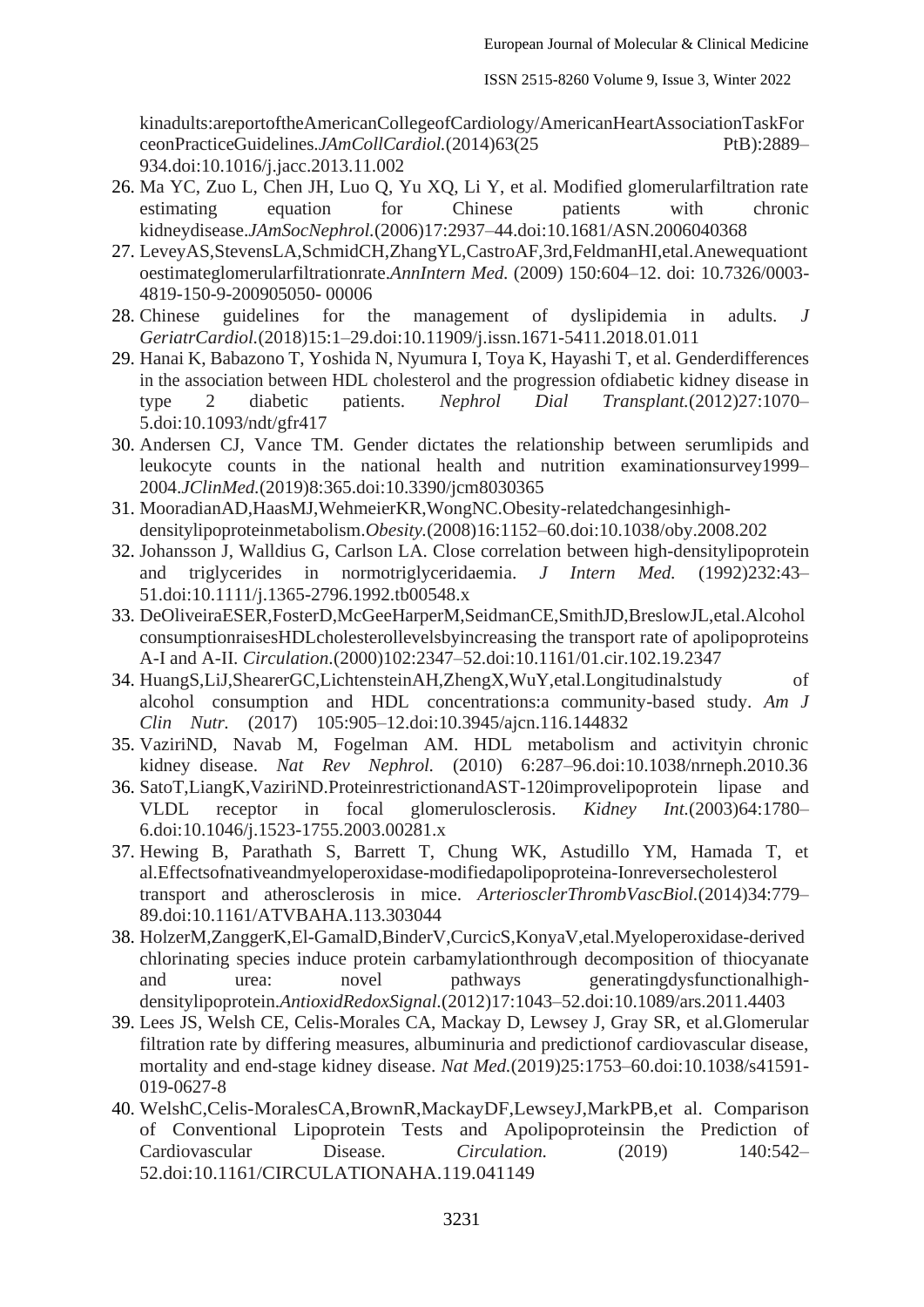kinadults:areportoftheAmericanCollegeofCardiology/AmericanHeartAssociationTaskFor ceonPracticeGuidelines.*JAmCollCardiol.*(2014)63(25 PtB):2889– 934.doi[:10.1016/j.jacc.2013.11.002](https://doi.org/10.1016/j.jacc.2013.11.002)

- 26. Ma YC, Zuo L, Chen JH, Luo Q, Yu XQ, Li Y, et al. Modified glomerularfiltration rate estimating equation for Chinese patients with chronic kidneydisease.*JAmSocNephrol.*[\(2006\)17:2937–44.doi:10.1681/ASN.2006040368](https://doi.org/10.1681/ASN.2006040368)
- 27. LeveyAS,StevensLA,SchmidCH,ZhangYL,CastroAF,3rd,FeldmanHI,etal.Anewequationt oestimateglomerularfiltrationrate.*AnnIntern Med.* [\(2009\) 150:604–12. doi: 10.7326/0003-](https://doi.org/10.7326/0003-4819-150-9-200905050-00006) [4819-150-9-200905050-](https://doi.org/10.7326/0003-4819-150-9-200905050-00006) 00006
- 28. Chinese guidelines for the management of dyslipidemia in adults. *J GeriatrCardiol.*(2018)15:1–29.doi[:10.11909/j.issn.1671-5411.2018.01.011](https://doi.org/10.11909/j.issn.1671-5411.2018.01.011)
- 29. Hanai K, Babazono T, Yoshida N, Nyumura I, Toya K, Hayashi T, et al. Genderdifferences in the association between HDL cholesterol and the progression ofdiabetic kidney disease in type 2 diabetic patients. *Nephrol Dial Transplant.*(2012)27:1070– 5.doi[:10.1093/ndt/gfr417](https://doi.org/10.1093/ndt/gfr417)
- 30. Andersen CJ, Vance TM. Gender dictates the relationship between serumlipids and leukocyte counts in the national health and nutrition examinationsurvey1999– 2004.*JClinMed.*(2019)8:365.doi[:10.3390/jcm8030365](https://doi.org/10.3390/jcm8030365)
- 31. MooradianAD,HaasMJ,WehmeierKR,WongNC.Obesity-relatedchangesinhighdensitylipoproteinmetabolism.*Obesity.*(2008)16:1152–60.doi[:10.1038/oby.2008.202](https://doi.org/10.1038/oby.2008.202)
- 32. Johansson J, Walldius G, Carlson LA. Close correlation between high-densitylipoprotein and triglycerides in normotriglyceridaemia. *J Intern Med.* (1992)232:43– 51.doi[:10.1111/j.1365-2796.1992.tb00548.x](https://doi.org/10.1111/j.1365-2796.1992.tb00548.x)
- 33. DeOliveiraESER,FosterD,McGeeHarperM,SeidmanCE,SmithJD,BreslowJL,etal.Alcohol consumptionraisesHDLcholesterollevelsbyincreasing the transport rate of apolipoproteins A-I and A-II. *Circulation.*(2000)102:2347–52.doi[:10.1161/01.cir.102.19.2347](https://doi.org/10.1161/01.cir.102.19.2347)
- 34. HuangS,LiJ,ShearerGC,LichtensteinAH,ZhengX,WuY,etal.Longitudinalstudy of alcohol consumption and HDL concentrations:a community-based study. *Am J Clin Nutr.* (2017) 105:905–12.doi[:10.3945/ajcn.116.144832](https://doi.org/10.3945/ajcn.116.144832)
- 35. VaziriND, Navab M, Fogelman AM. HDL metabolism and activityin chronic kidney disease. *Nat Rev Nephrol.* (2010) 6:287–96.doi[:10.1038/nrneph.2010.36](https://doi.org/10.1038/nrneph.2010.36)
- 36. SatoT,LiangK,VaziriND.ProteinrestrictionandAST-120improvelipoprotein lipase and VLDL receptor in focal glomerulosclerosis. *Kidney Int.*(2003)64:1780– 6.doi[:10.1046/j.1523-1755.2003.00281.x](https://doi.org/10.1046/j.1523-1755.2003.00281.x)
- 37. Hewing B, Parathath S, Barrett T, Chung WK, Astudillo YM, Hamada T, et al.Effectsofnativeandmyeloperoxidase-modifiedapolipoproteina-Ionreversecholesterol transport and atherosclerosis in mice. *ArteriosclerThrombVascBiol.*(2014)34:779– 89.doi[:10.1161/ATVBAHA.113.303044](https://doi.org/10.1161/ATVBAHA.113.303044)
- 38. HolzerM,ZanggerK,El-GamalD,BinderV,CurcicS,KonyaV,etal.Myeloperoxidase-derived chlorinating species induce protein carbamylationthrough decomposition of thiocyanate and urea: novel pathways generatingdysfunctionalhighdensitylipoprotein.*AntioxidRedoxSignal.*(2012)17:1043–52.doi[:10.1089/ars.2011.4403](https://doi.org/10.1089/ars.2011.4403)
- 39. Lees JS, Welsh CE, Celis-Morales CA, Mackay D, Lewsey J, Gray SR, et al.Glomerular filtration rate by differing measures, albuminuria and predictionof cardiovascular disease, mortality and end-stage kidney disease. *Nat Med.*(2019)25:1753–60.doi[:10.1038/s41591-](https://doi.org/10.1038/s41591-019-0627-8) [019-0627-8](https://doi.org/10.1038/s41591-019-0627-8)
- 40. WelshC,Celis-MoralesCA,BrownR,MackayDF,LewseyJ,MarkPB,et al. Comparison of Conventional Lipoprotein Tests and Apolipoproteinsin the Prediction of Cardiovascular Disease. *Circulation.* (2019) 140:542– 52.doi[:10.1161/CIRCULATIONAHA.119.041149](https://doi.org/10.1161/CIRCULATIONAHA.119.041149)